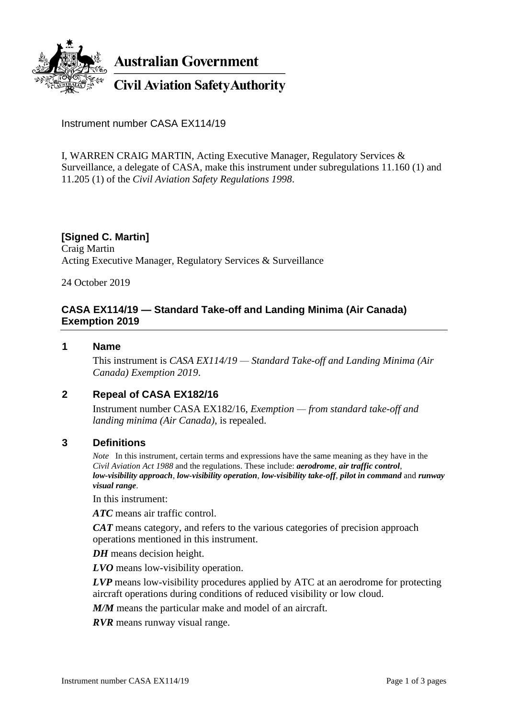

Instrument number CASA EX114/19

I, WARREN CRAIG MARTIN, Acting Executive Manager, Regulatory Services & Surveillance, a delegate of CASA, make this instrument under subregulations 11.160 (1) and 11.205 (1) of the *Civil Aviation Safety Regulations 1998*.

**[Signed C. Martin]** Craig Martin Acting Executive Manager, Regulatory Services & Surveillance

24 October 2019

## **CASA EX114/19 — Standard Take-off and Landing Minima (Air Canada) Exemption 2019**

### **1 Name**

This instrument is *CASA EX114/19 — Standard Take-off and Landing Minima (Air Canada) Exemption 2019*.

## **2 Repeal of CASA EX182/16**

Instrument number CASA EX182/16, *Exemption — from standard take-off and landing minima (Air Canada)*, is repealed.

### **3 Definitions**

*Note* In this instrument, certain terms and expressions have the same meaning as they have in the *Civil Aviation Act 1988* and the regulations. These include: *aerodrome*, *air traffic control*, *low-visibility approach*, *low-visibility operation*, *low-visibility take-off*, *pilot in command* and *runway visual range*.

In this instrument:

*ATC* means air traffic control.

*CAT* means category, and refers to the various categories of precision approach operations mentioned in this instrument.

*DH* means decision height.

*LVO* means low-visibility operation.

*LVP* means low-visibility procedures applied by ATC at an aerodrome for protecting aircraft operations during conditions of reduced visibility or low cloud.

*M/M* means the particular make and model of an aircraft.

*RVR* means runway visual range.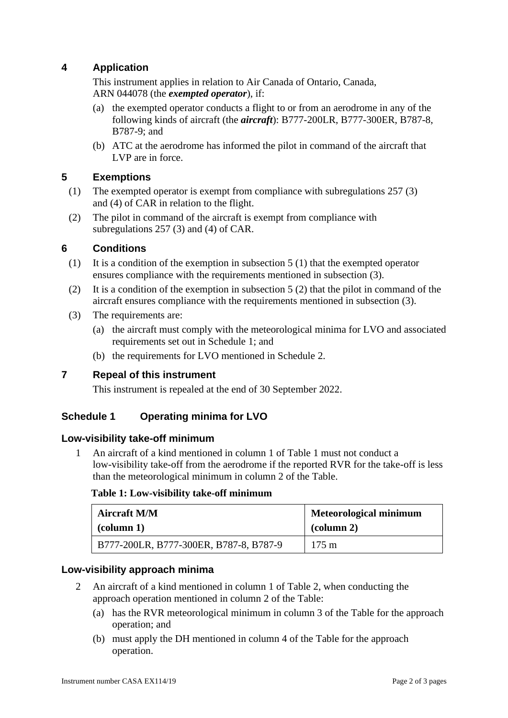# **4 Application**

This instrument applies in relation to Air Canada of Ontario, Canada, ARN 044078 (the *exempted operator*), if:

- (a) the exempted operator conducts a flight to or from an aerodrome in any of the following kinds of aircraft (the *aircraft*): B777-200LR, B777-300ER, B787-8, B787-9; and
- (b) ATC at the aerodrome has informed the pilot in command of the aircraft that LVP are in force.

### **5 Exemptions**

- (1) The exempted operator is exempt from compliance with subregulations 257 (3) and (4) of CAR in relation to the flight.
- (2) The pilot in command of the aircraft is exempt from compliance with subregulations 257 (3) and (4) of CAR.

### **6 Conditions**

- (1) It is a condition of the exemption in subsection 5 (1) that the exempted operator ensures compliance with the requirements mentioned in subsection (3).
- (2) It is a condition of the exemption in subsection 5 (2) that the pilot in command of the aircraft ensures compliance with the requirements mentioned in subsection (3).
- (3) The requirements are:
	- (a) the aircraft must comply with the meteorological minima for LVO and associated requirements set out in Schedule 1; and
	- (b) the requirements for LVO mentioned in Schedule 2.

## **7 Repeal of this instrument**

This instrument is repealed at the end of 30 September 2022.

## **Schedule 1 Operating minima for LVO**

### **Low-visibility take-off minimum**

1 An aircraft of a kind mentioned in column 1 of Table 1 must not conduct a low-visibility take-off from the aerodrome if the reported RVR for the take-off is less than the meteorological minimum in column 2 of the Table.

#### **Table 1: Low-visibility take-off minimum**

| Aircraft M/M                           | <b>Meteorological minimum</b> |
|----------------------------------------|-------------------------------|
| $\alpha$ (column 1)                    | $\alpha$ (column 2)           |
| B777-200LR, B777-300ER, B787-8, B787-9 | $175 \text{ m}$               |

### **Low-visibility approach minima**

- 2 An aircraft of a kind mentioned in column 1 of Table 2, when conducting the approach operation mentioned in column 2 of the Table:
	- (a) has the RVR meteorological minimum in column 3 of the Table for the approach operation; and
	- (b) must apply the DH mentioned in column 4 of the Table for the approach operation.